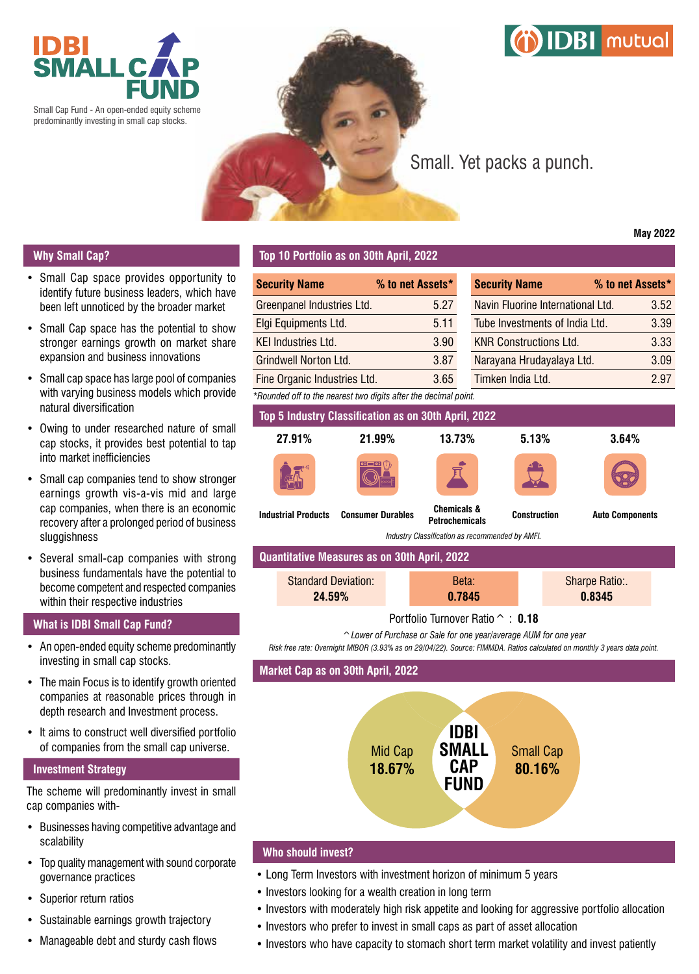

Small Cap Fund - An open-ended equity scheme predominantly investing in small cap stocks.



# Small. Yet packs a punch.

## **Why Small Cap?**

- Small Cap space provides opportunity to identify future business leaders, which have been left unnoticed by the broader market
- Small Cap space has the potential to show stronger earnings growth on market share expansion and business innovations
- Small cap space has large pool of companies with varying business models which provide natural diversification
- Owing to under researched nature of small cap stocks, it provides best potential to tap into market inefficiencies
- Small cap companies tend to show stronger earnings growth vis-a-vis mid and large cap companies, when there is an economic recovery after a prolonged period of business sluggishness
- Several small-cap companies with strong business fundamentals have the potential to become competent and respected companies within their respective industries

### **What is IDBI Small Cap Fund?**

- An open-ended equity scheme predominantly investing in small cap stocks.
- The main Focus is to identify growth oriented companies at reasonable prices through in depth research and Investment process.
- It aims to construct well diversified portfolio of companies from the small cap universe.

#### **Investment Strategy**

The scheme will predominantly invest in small cap companies with-

- Businesses having competitive advantage and scalability
- Top quality management with sound corporate governance practices
- Superior return ratios
- Sustainable earnings growth trajectory
- Manageable debt and sturdy cash flows

#### **Top 10 Portfolio as on 30th April, 2022**

| <b>Security Name</b>                                            | % to net Assets* |  |  |  |  |  |  |  |
|-----------------------------------------------------------------|------------------|--|--|--|--|--|--|--|
| Greenpanel Industries Ltd.                                      | 5.27             |  |  |  |  |  |  |  |
| Elgi Equipments Ltd.                                            | 5.11             |  |  |  |  |  |  |  |
| <b>KEI Industries Ltd.</b>                                      | 3.90             |  |  |  |  |  |  |  |
| <b>Grindwell Norton Ltd.</b>                                    | 3.87             |  |  |  |  |  |  |  |
| Fine Organic Industries Ltd.                                    | 3.65             |  |  |  |  |  |  |  |
| *Rounded off to the nearest two digits after the decimal point. |                  |  |  |  |  |  |  |  |
|                                                                 |                  |  |  |  |  |  |  |  |

| <b>Security Name</b>              | % to net Assets* |      |
|-----------------------------------|------------------|------|
| Navin Fluorine International Ltd. |                  | 3.52 |
| Tube Investments of India Ltd.    |                  | 3.39 |
| <b>KNR Constructions Ltd.</b>     |                  | 3.33 |
| Narayana Hrudayalaya Ltd.         |                  | 3.09 |
| Timken India Ltd.                 |                  | 2.97 |

**DBI** mutual

**Top 5 Industry Classification as on 30th April, 2022**

| 27.91%                     | 21.99%                   | 13.73%                                          | 5.13%               | 3.64%              |
|----------------------------|--------------------------|-------------------------------------------------|---------------------|--------------------|
|                            |                          |                                                 |                     |                    |
| <b>Industrial Products</b> | <b>Consumer Durables</b> | <b>Chemicals &amp;</b><br><b>Petrochemicals</b> | <b>Construction</b> | <b>Auto Compor</b> |







**Petrochemicals Construction Auto Components**

*Industry Classification as recommended by AMFI.*

| Quantitative Measures as on 30th April, 2022 |                                                    |  |  |  |  |  |  |  |
|----------------------------------------------|----------------------------------------------------|--|--|--|--|--|--|--|
| <b>Standard Deviation:</b><br>24.59%         | <b>Sharpe Ratio:.</b><br>Beta:<br>0.8345<br>0.7845 |  |  |  |  |  |  |  |

#### Portfolio Turnover Ratio^ : **0.18**

*^Lower of Purchase or Sale for one year/average AUM for one year*

*Risk free rate: Overnight MIBOR (3.93% as on 29/04/22). Source: FIMMDA. Ratios calculated on monthly 3 years data point.*

#### **Market Cap as on 30th April, 2022**



#### **Who should invest?**

- Long Term Investors with investment horizon of minimum 5 years
- Investors looking for a wealth creation in long term
- Investors with moderately high risk appetite and looking for aggressive portfolio allocation
- Investors who prefer to invest in small caps as part of asset allocation
- Investors who have capacity to stomach short term market volatility and invest patiently